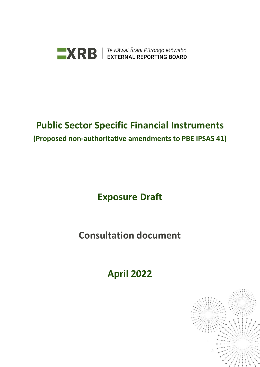

## **Public Sector Specific Financial Instruments (Proposed non-authoritative amendments to PBE IPSAS 41)**

# **Exposure Draft**

**Consultation document** 

**April 2022**

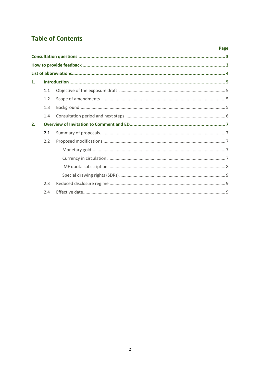## **Table of Contents**

|    |     | Page |  |
|----|-----|------|--|
|    |     |      |  |
|    |     |      |  |
|    |     |      |  |
| 1. |     |      |  |
|    | 1.1 |      |  |
|    | 1.2 |      |  |
|    | 1.3 |      |  |
|    | 1.4 |      |  |
| 2. |     |      |  |
|    | 2.1 |      |  |
|    | 2.2 |      |  |
|    |     |      |  |
|    |     |      |  |
|    |     |      |  |
|    |     |      |  |
|    | 2.3 |      |  |
|    | 2.4 |      |  |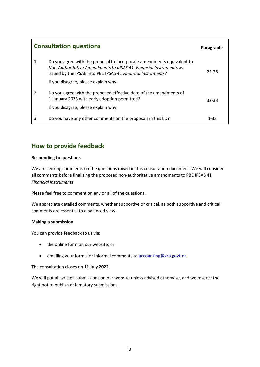| <b>Consultation questions</b> | <b>Paragraphs</b>                                                                                                                                                                                            |           |
|-------------------------------|--------------------------------------------------------------------------------------------------------------------------------------------------------------------------------------------------------------|-----------|
| 1                             | Do you agree with the proposal to incorporate amendments equivalent to<br>Non-Authoritative Amendments to IPSAS 41, Financial Instruments as<br>issued by the IPSAB into PBE IPSAS 41 Financial Instruments? | 22-28     |
|                               | If you disagree, please explain why.                                                                                                                                                                         |           |
| 2                             | Do you agree with the proposed effective date of the amendments of<br>1 January 2023 with early adoption permitted?                                                                                          | $32 - 33$ |
|                               | If you disagree, please explain why.                                                                                                                                                                         |           |
| 3                             | Do you have any other comments on the proposals in this ED?                                                                                                                                                  | $1 - 33$  |

### **How to provide feedback**

### **Responding to questions**

We are seeking comments on the questions raised in this consultation document. We will consider all comments before finalising the proposed non-authoritative amendments to PBE IPSAS 41 *Financial Instruments*.

Please feel free to comment on any or all of the questions.

We appreciate detailed comments, whether supportive or critical, as both supportive and critical comments are essential to a balanced view.

#### **Making a submission**

You can provide feedback to us via:

- the online form on our website; or
- emailing your formal or informal comments to **accounting@xrb.govt.nz**.

The consultation closes on **11 July 2022**.

We will put all written submissions on our website unless advised otherwise, and we reserve the right not to publish defamatory submissions.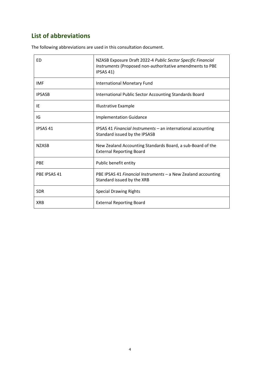### **List of abbreviations**

 $\overline{a}$ 

| ED             | NZASB Exposure Draft 2022-4 Public Sector Specific Financial<br>Instruments (Proposed non-authoritative amendments to PBE<br>IPSAS 41) |  |  |
|----------------|----------------------------------------------------------------------------------------------------------------------------------------|--|--|
| <b>IMF</b>     | <b>International Monetary Fund</b>                                                                                                     |  |  |
| <b>IPSASB</b>  | International Public Sector Accounting Standards Board                                                                                 |  |  |
| IE             | <b>Illustrative Example</b>                                                                                                            |  |  |
| IG             | <b>Implementation Guidance</b>                                                                                                         |  |  |
| <b>IPSAS41</b> | IPSAS 41 Financial Instruments - an international accounting<br>Standard issued by the IPSASB                                          |  |  |
| <b>NZASB</b>   | New Zealand Accounting Standards Board, a sub-Board of the<br><b>External Reporting Board</b>                                          |  |  |
| <b>PBE</b>     | Public benefit entity                                                                                                                  |  |  |
| PBE IPSAS 41   | PBE IPSAS 41 Financial Instruments - a New Zealand accounting<br>Standard issued by the XRB                                            |  |  |
| <b>SDR</b>     | <b>Special Drawing Rights</b>                                                                                                          |  |  |
| <b>XRB</b>     | <b>External Reporting Board</b>                                                                                                        |  |  |

The following abbreviations are used in this consultation document.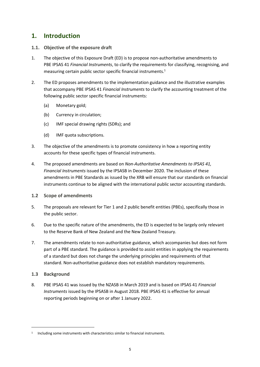### **1. Introduction**

- **1.1. Objective of the exposure draft**
- 1. The objective of this Exposure Draft (ED) is to propose non-authoritative amendments to PBE IPSAS 41 *Financial Instruments*, to clarify the requirements for classifying, recognising, and measuring certain public sector specific financial instruments. 1
- 2. The ED proposes amendments to the implementation guidance and the illustrative examples that accompany PBE IPSAS 41 *Financial Instruments* to clarify the accounting treatment of the following public sector specific financial instruments:
	- (a) Monetary gold;
	- (b) Currency in circulation;
	- (c) IMF special drawing rights (SDRs); and
	- (d) IMF quota subscriptions.
- 3. The objective of the amendments is to promote consistency in how a reporting entity accounts for these specific types of financial instruments.
- 4. The proposed amendments are based on *Non-Authoritative Amendments to IPSAS 41, Financial Instruments* issued by the IPSASB in December 2020. The inclusion of these amendments in PBE Standards as issued by the XRB will ensure that our standards on financial instruments continue to be aligned with the international public sector accounting standards.

### **1.2 Scope of amendments**

- 5. The proposals are relevant for Tier 1 and 2 public benefit entities (PBEs), specifically those in the public sector.
- 6. Due to the specific nature of the amendments, the ED is expected to be largely only relevant to the Reserve Bank of New Zealand and the New Zealand Treasury.
- 7. The amendments relate to non-authoritative guidance, which accompanies but does not form part of a PBE standard. The guidance is provided to assist entities in applying the requirements of a standard but does not change the underlying principles and requirements of that standard. Non-authoritative guidance does not establish mandatory requirements.
- **1.3 Background**
- 8. PBE IPSAS 41 was issued by the NZASB in March 2019 and is based on IPSAS 41 *Financial Instruments* issued by the IPSASB in August 2018. PBE IPSAS 41 is effective for annual reporting periods beginning on or after 1 January 2022.

<sup>&</sup>lt;sup>1</sup> Including some instruments with characteristics similar to financial instruments.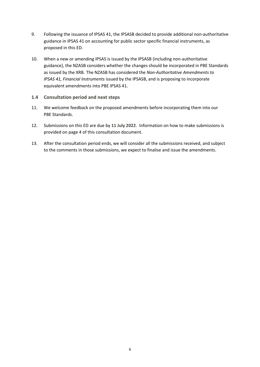- 9. Following the issuance of IPSAS 41, the IPSASB decided to provide additional non-authoritative guidance in IPSAS 41 on accounting for public sector specific financial instruments, as proposed in this ED.
- 10. When a new or amending IPSAS is issued by the IPSASB (including non-authoritative guidance), the NZASB considers whether the changes should be incorporated in PBE Standards as issued by the XRB. The NZASB has considered the *Non-Authoritative Amendments to IPSAS 41, Financial Instruments* issued by the IPSASB, and is proposing to incorporate equivalent amendments into PBE IPSAS 41.

### **1.4 Consultation period and next steps**

- 11. We welcome feedback on the proposed amendments before incorporating them into our PBE Standards.
- 12. Submissions on this ED are due by **11 July 2022**. Information on how to make submissions is provided on page 4 of this consultation document.
- 13. After the consultation period ends, we will consider all the submissions received, and subject to the comments in those submissions, we expect to finalise and issue the amendments.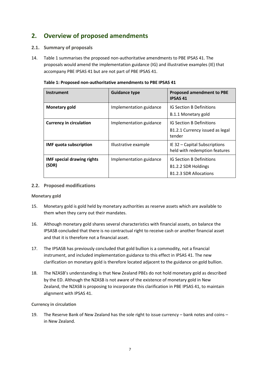### **2. Overview of proposed amendments**

### **2.1. Summary of proposals**

14. Table 1 summarises the proposed non-authoritative amendments to PBE IPSAS 41. The proposals would amend the implementation guidance (IG) and illustrative examples (IE) that accompany PBE IPSAS 41 but are not part of PBE IPSAS 41.

| <b>Instrument</b>                          | <b>Guidance type</b>    | <b>Proposed amendment to PBE</b><br><b>IPSAS 41</b>                                     |
|--------------------------------------------|-------------------------|-----------------------------------------------------------------------------------------|
| <b>Monetary gold</b>                       | Implementation guidance | <b>IG Section B Definitions</b><br>B.1.1 Monetary gold                                  |
| <b>Currency in circulation</b>             | Implementation guidance | <b>IG Section B Definitions</b><br>B1.2.1 Currency issued as legal<br>tender            |
| <b>IMF</b> quota subscription              | Illustrative example    | IE 32 – Capital Subscriptions<br>held with redemption features                          |
| <b>IMF special drawing rights</b><br>(SDR) | Implementation guidance | <b>IG Section B Definitions</b><br>B1.2.2 SDR Holdings<br><b>B1.2.3 SDR Allocations</b> |

#### **Table 1: Proposed non-authoritative amendments to PBE IPSAS 41**

### **2.2. Proposed modifications**

#### **Monetary gold**

- 15. Monetary gold is gold held by monetary authorities as reserve assets which are available to them when they carry out their mandates.
- 16. Although monetary gold shares several characteristics with financial assets, on balance the IPSASB concluded that there is no contractual right to receive cash or another financial asset and that it is therefore not a financial asset.
- 17. The IPSASB has previously concluded that gold bullion is a commodity, not a financial instrument, and included implementation guidance to this effect in IPSAS 41. The new clarification on monetary gold is therefore located adjacent to the guidance on gold bullion.
- 18. The NZASB's understanding is that New Zealand PBEs do not hold monetary gold as described by the ED. Although the NZASB is not aware of the existence of monetary gold in New Zealand, the NZASB is proposing to incorporate this clarification in PBE IPSAS 41, to maintain alignment with IPSAS 41.

#### **Currency in circulation**

19. The Reserve Bank of New Zealand has the sole right to issue currency – bank notes and coins – in New Zealand.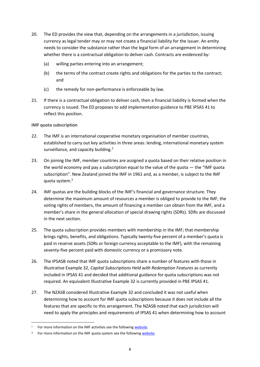- 20. The ED provides the view that, depending on the arrangements in a jurisdiction, issuing currency as legal tender may or may not create a financial liability for the issuer. An entity needs to consider the substance rather than the legal form of an arrangement in determining whether there is a contractual obligation to deliver cash. Contracts are evidenced by:
	- (a) willing parties entering into an arrangement;
	- (b) the terms of the contract create rights and obligations for the parties to the contract; and
	- (c) the remedy for non-performance is enforceable by law.
- 21. If there is a contractual obligation to deliver cash, then a financial liability is formed when the currency is issued. The ED proposes to add implementation guidance to PBE IPSAS 41 to reflect this position.

**IMF quota subscription**

- 22. The IMF is an international cooperative monetary organisation of member countries, established to carry out key activities in three areas: lending, international monetary system surveillance, and capacity building.<sup>2</sup>
- 23. On joining the IMF, member countries are assigned a quota based on their relative position in the world economy and pay a subscription equal to the value of the quota — the "IMF quota subscription". New Zealand joined the IMF in 1961 and, as a member, is subject to the IMF quota system.<sup>3</sup>
- 24. IMF quotas are the building blocks of the IMF's financial and governance structure. They determine the maximum amount of resources a member is obliged to provide to the IMF, the voting rights of members, the amount of financing a member can obtain from the IMF, and a member's share in the general allocation of [special drawing rights \(SDRs\).](http://www.imf.org/en/About/Factsheets/Sheets/2016/08/01/14/51/Special-Drawing-Right-SDR) SDRs are discussed in the next section.
- 25. The quota subscription provides members with membership in the IMF; that membership brings rights, benefits, and obligations. Typically twenty-five percent of a member's quota is paid in reserve assets (SDRs or foreign currency acceptable to the IMF), with the remaining seventy-five percent paid with domestic currency or a promissory note.
- 26. The IPSASB noted that IMF quota subscriptions share a number of features with those in Illustrative Example 32, *Capital Subscriptions Held with Redemption Features* as currently included in IPSAS 41 and decided that additional guidance for quota subscriptions was not required. An equivalent Illustrative Example 32 is currently provided in PBE IPSAS 41.
- 27. The NZASB considered Illustrative Example 32 and concluded it was not useful when determining how to account for IMF quota subscriptions because it does not include all the features that are specific to this arrangement. The NZASB noted that each jurisdiction will need to apply the principles and requirements of IPSAS 41 when determining how to account

<sup>&</sup>lt;sup>2</sup> For more information on the IMF activities see the followin[g website.](https://www.imf.org/en/About)

<sup>&</sup>lt;sup>3</sup> For more information on the IMF quota system see the followin[g website.](https://www.imf.org/en/About/Factsheets/Sheets/2016/07/14/12/21/IMF-Quotas)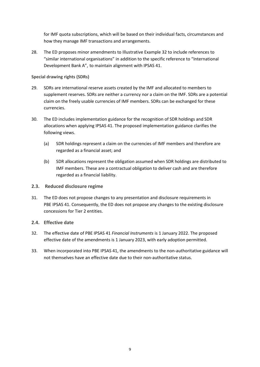for IMF quota subscriptions, which will be based on their individual facts, circumstances and how they manage IMF transactions and arrangements.

28. The ED proposes minor amendments to Illustrative Example 32 to include references to "similar international organisations" in addition to the specific reference to "International Development Bank A", to maintain alignment with IPSAS 41.

### **Special drawing rights (SDRs)**

- 29. SDRs are international reserve assets created by the IMF and allocated to members to supplement reserves. SDRs are neither a currency nor a claim on the IMF. SDRs are a potential claim on the freely usable currencies of IMF members. SDRs can be exchanged for these currencies.
- 30. The ED includes implementation guidance for the recognition of SDR holdings and SDR allocations when applying IPSAS 41. The proposed implementation guidance clarifies the following views.
	- (a) SDR holdings represent a claim on the currencies of IMF members and therefore are regarded as a financial asset; and
	- (b) SDR allocations represent the obligation assumed when SDR holdings are distributed to IMF members. These are a contractual obligation to deliver cash and are therefore regarded as a financial liability.

### **2.3. Reduced disclosure regime**

31. The ED does not propose changes to any presentation and disclosure requirements in PBE IPSAS 41. Consequently, the ED does not propose any changes to the existing disclosure concessions for Tier 2 entities.

### **2.4. Effective date**

- 32. The effective date of PBE IPSAS 41 *Financial Instruments* is 1 January 2022. The proposed effective date of the amendments is 1 January 2023, with early adoption permitted.
- 33. When incorporated into PBE IPSAS 41, the amendments to the non-authoritative guidance will not themselves have an effective date due to their non-authoritative status.